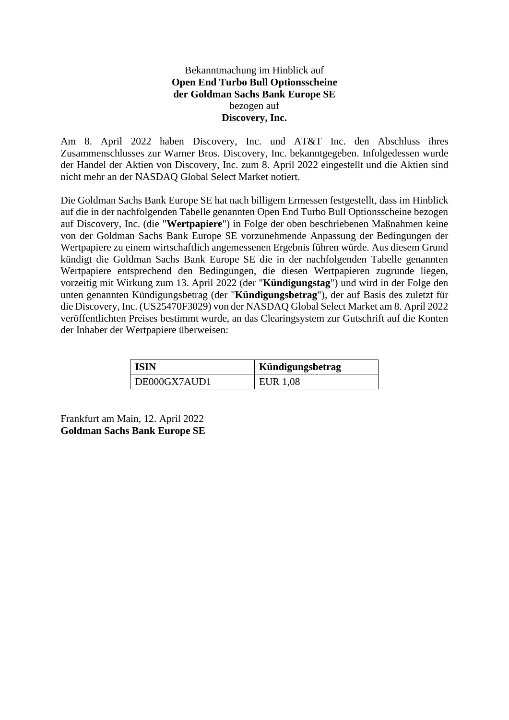## Bekanntmachung im Hinblick auf **Open End Turbo Bull Optionsscheine der Goldman Sachs Bank Europe SE** bezogen auf **Discovery, Inc.**

Am 8. April 2022 haben Discovery, Inc. und AT&T Inc. den Abschluss ihres Zusammenschlusses zur Warner Bros. Discovery, Inc. bekanntgegeben. Infolgedessen wurde der Handel der Aktien von Discovery, Inc. zum 8. April 2022 eingestellt und die Aktien sind nicht mehr an der NASDAQ Global Select Market notiert.

Die Goldman Sachs Bank Europe SE hat nach billigem Ermessen festgestellt, dass im Hinblick auf die in der nachfolgenden Tabelle genannten Open End Turbo Bull Optionsscheine bezogen auf Discovery, Inc. (die "**Wertpapiere**") in Folge der oben beschriebenen Maßnahmen keine von der Goldman Sachs Bank Europe SE vorzunehmende Anpassung der Bedingungen der Wertpapiere zu einem wirtschaftlich angemessenen Ergebnis führen würde. Aus diesem Grund kündigt die Goldman Sachs Bank Europe SE die in der nachfolgenden Tabelle genannten Wertpapiere entsprechend den Bedingungen, die diesen Wertpapieren zugrunde liegen, vorzeitig mit Wirkung zum 13. April 2022 (der "**Kündigungstag**") und wird in der Folge den unten genannten Kündigungsbetrag (der "**Kündigungsbetrag**"), der auf Basis des zuletzt für die Discovery, Inc. (US25470F3029) von der NASDAQ Global Select Market am 8. April 2022 veröffentlichten Preises bestimmt wurde, an das Clearingsystem zur Gutschrift auf die Konten der Inhaber der Wertpapiere überweisen:

| ' ISIN       | Kündigungsbetrag |
|--------------|------------------|
| DE000GX7AUD1 | <b>EUR 1,08</b>  |

Frankfurt am Main, 12. April 2022 **Goldman Sachs Bank Europe SE**